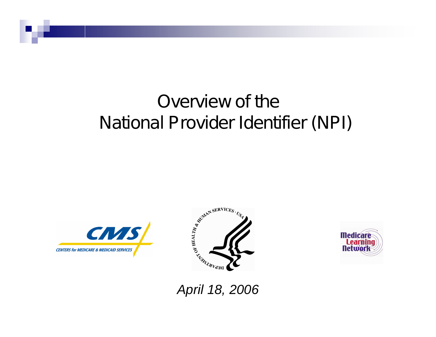## Overview of the National Provider Identifier (NPI)







*April 18, 2006*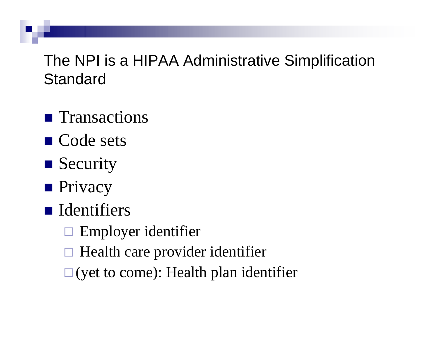The NPI is a HIPAA Administrative Simplification **Standard** 

- **T**ransactions
- Code sets
- **Security**
- **Privacy**
- **I**dentifiers
	- $\Box$ Employer identifier
	- $\Box$ Health care provider identifier
	- $\square$  (yet to come): Health plan identifier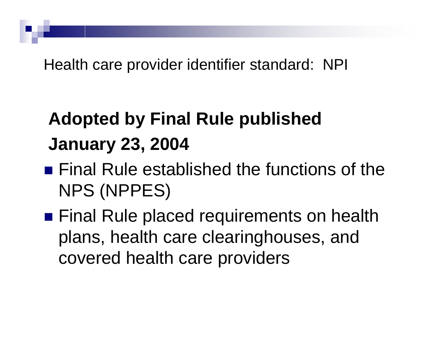Health care provider identifier standard: NPI

# **Adopted by Final Rule published January 23, 2004**

- **Final Rule established the functions of the** NPS (NPPES)
- Final Rule placed requirements on health plans, health care clearinghouses, and covered health care providers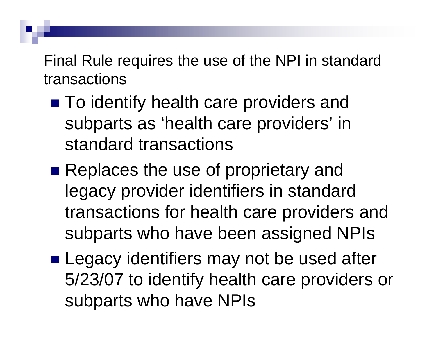Final Rule requires the use of the NPI in standard transactions

- To identify health care providers and subparts as 'health care providers' in standard transactions
- **Replaces the use of proprietary and** legacy provider identifiers in standard transactions for health care providers and subparts who have been assigned NPIs
- **Legacy identifiers may not be used after** 5/23/07 to identify health care providers or subparts who have NPIs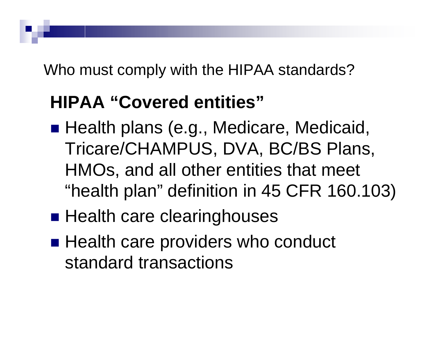Who must comply with the HIPAA standards?

# **HIPAA "Covered entities"**

- Health plans (e.g., Medicare, Medicaid, Tricare/CHAMPUS, DVA, BC/BS Plans, HMOs, and all other entities that meet "health plan" definition in 45 CFR 160.103)
- **Health care clearinghouses**
- **External Health care providers who conduct** standard transactions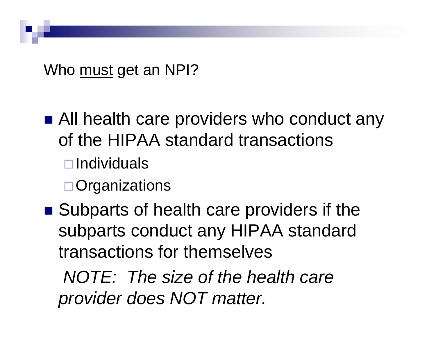Who <u>must</u> get an NPI?

- All health care providers who conduct any of the HIPAA standard transactions  $\Box$ Individuals  $\Box$  Organizations
- Subparts of health care providers if the subparts conduct any HIPAA standard transactions for themselves

*NOTE: The size of the health care provider does NOT matter.*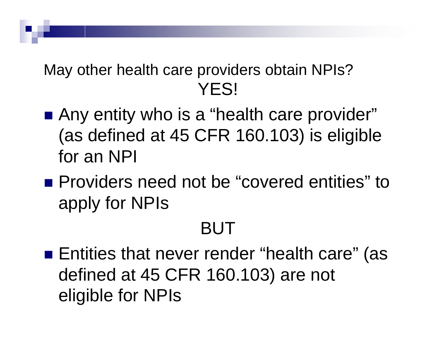## May other health care providers obtain NPIs? YES!

- Any entity who is a "health care provider" (as defined at 45 CFR 160.103) is eligible for an NPI
- **Providers need not be "covered entities" to** apply for NPIs

## BUT

■ Entities that never render "health care" (as defined at 45 CFR 160.103) are not eligible for NPIs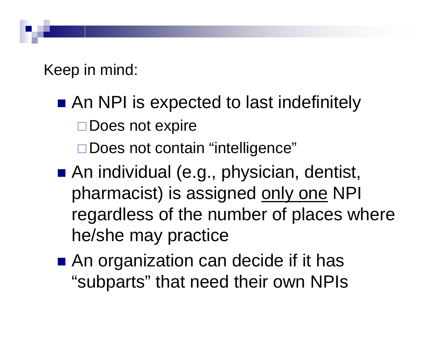Keep in mind:

- An NPI is expected to last indefinitely  $\Box$  Does not expire **□Does not contain "intelligence"**
- An individual (e.g., physician, dentist, pharmacist) is assigned only one NPI regardless of the number of places where he/she may practice
- An organization can decide if it has "subparts" that need their own NPIs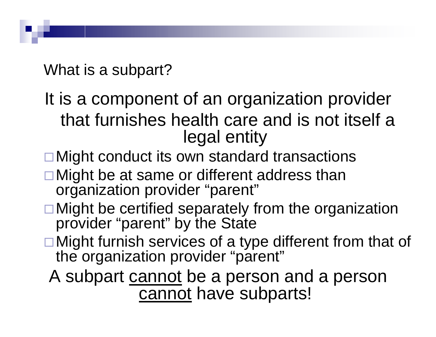What is a subpart?

It is a component of an organization provider that furnishes health care and is not itself a legal entity

- □ Might conduct its own standard transactions
- $\square$  Might be at same or different address than organization provider " "parent "
- $\square$  Might be certified separately from the organization provider " "parent "" by the State
- $\square$  Might furnish services of a type different from that of the organization provider ""parent "

A subpart cannot be a person and a person <u>cannot</u> have subparts!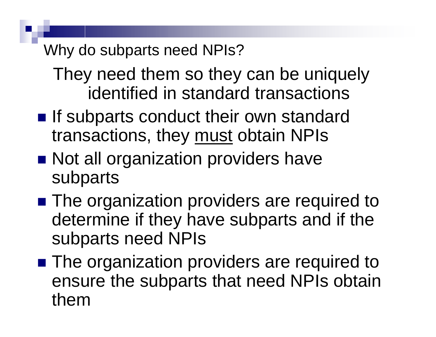### Why do subparts need NPIs?

They need them so they can be uniquely identified in standard transactions

- **If subparts conduct their own standard** transactions, they must obtain NPIs
- Not all organization providers have subparts
- The organization providers are required to determine if they have subparts and if the subparts need NPIs
- **The organization providers are required to** ensure the subparts that need NPIs obtain them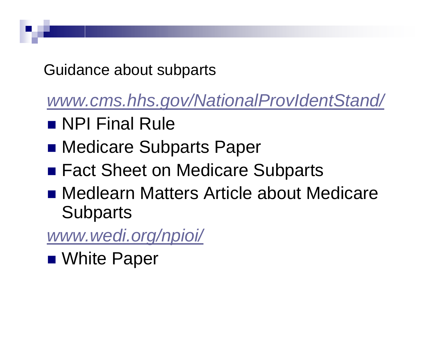Guidance about subparts

*www.cms.hhs.gov/NationalProvIdentStand/*

- NPI Final Rule
- **Redicare Subparts Paper**
- Fact Sheet on Medicare Subparts
- Medlearn Matters Article about Medicare **Subparts**

*www.wedi.org/npioi/*

■ White Paper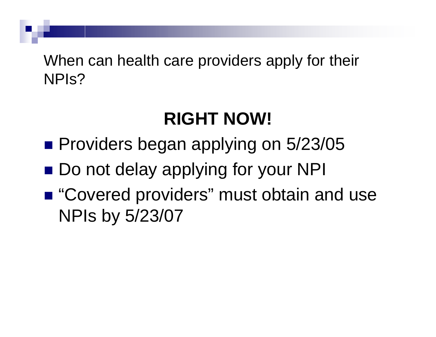When can health care providers apply for their NPIs?

# **RIGHT NOW!**

- **Providers began applying on 5/23/05**
- Do not delay applying for your NPI
- "Covered providers" must obtain and use NPIs by 5/23/07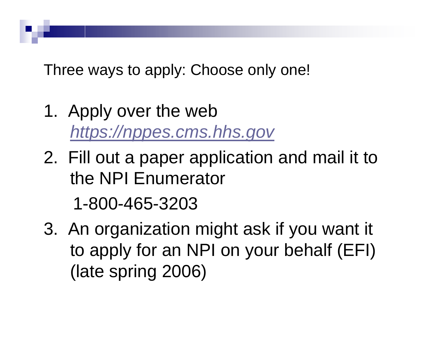Three ways to apply: Choose only one!

- 1. Apply over the web *https://nppes.cms.hhs.gov*
- 2. Fill out a paper application and mail it to the NPI Enumerator

1-800-465-3203

3. An organization might ask if you want it to apply for an NPI on your behalf (EFI) (late spring 2006)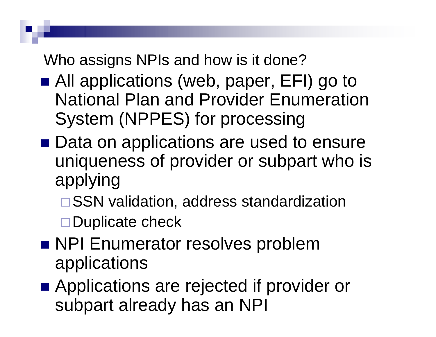Who assigns NPIs and how is it done?

- All applications (web, paper, EFI) go to National Plan and Provider Enumeration System (NPPES) for processing
- Data on applications are used to ensure uniqueness of provider or subpart who is applying
	- □ SSN validation, address standardization

 $\Box$  Duplicate check

- **NPI Enumerator resolves problem** applications
- Applications are rejected if provider or subpart already has an NPI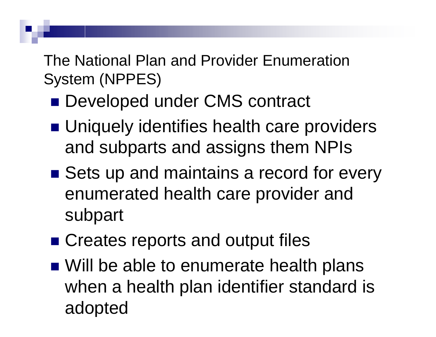The National Plan and Provider Enumeration System (NPPES)

- Developed under CMS contract
- **Uniquely identifies health care providers** and subparts and assigns them NPIs
- Sets up and maintains a record for every enumerated health care provider and subpart
- Creates reports and output files
- Will be able to enumerate health plans when <sup>a</sup> health plan identifier standard is adopted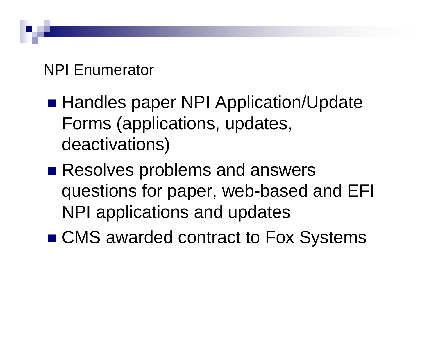### NPI Enumerator

- **Handles paper NPI Application/Update** Forms (applications, updates, deactivations)
- **Resolves problems and answers** questions for paper, web-based and EFI NPI applications and updates
- CMS awarded contract to Fox Systems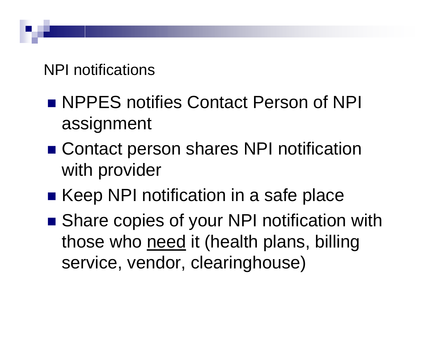NPI notifications

- NPPES notifies Contact Person of NPI assignment
- Contact person shares NPI notification with provider
- Keep NPI notification in a safe place
- Share copies of your NPI notification with those who <u>need</u> it (health plans, billing service, vendor, clearinghouse)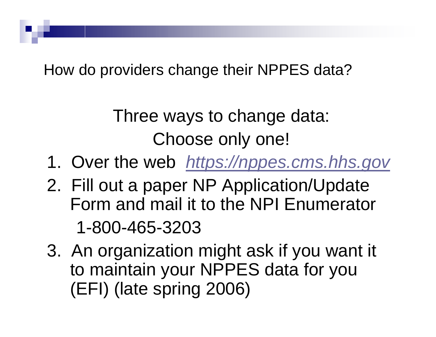How do providers change their NPPES data?

## Three ways to change data: Choose only one!

- 1. Over the web *https://nppes.cms.hhs.gov*
- 2. Fill out a paper NP Application/Update Form and mail it to the NPI Enumerator 1-800-465-3203
- 3. An organization might ask if you want it to maintain your NPPES data for you (EFI) (late spring 2006)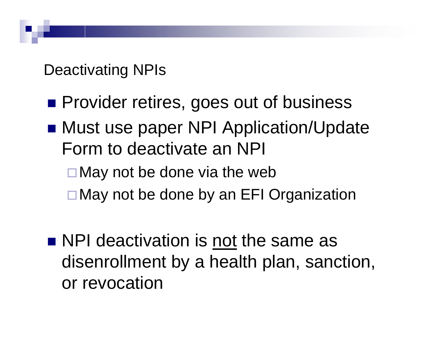Deactivating NPIs

- **Provider retires, goes out of business**
- Must use paper NPI Application/Update Form to deactivate an NPI
	- $\Box$  May not be done via the web
	- **□May not be done by an EFI Organization**
- NPI deactivation is not the same as disenrollment by <sup>a</sup> health plan, sanction, or revocation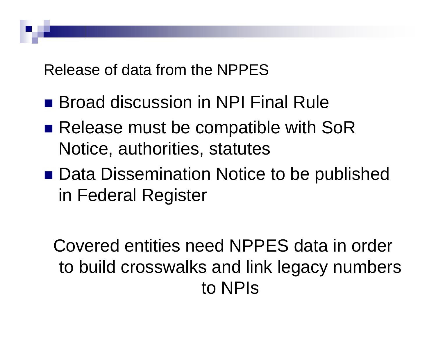Release of data from the NPPES

- Broad discussion in NPI Final Rule
- Release must be compatible with SoR Notice, authorities, statutes
- Data Dissemination Notice to be published in Federal Register

Covered entities need NPPES data in order to build crosswalks and link legacy numbers to NPIs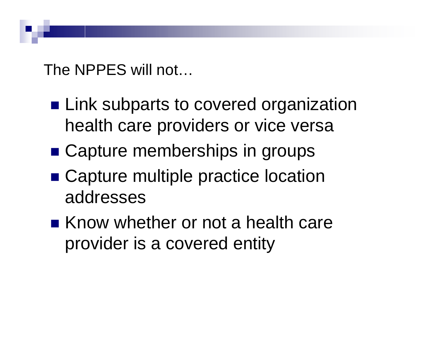The NPPES will not…

- **ELink subparts to covered organization** health care providers or vice versa
- Capture memberships in groups
- Capture multiple practice location addresses
- Know whether or not a health care provider is <sup>a</sup> covered entity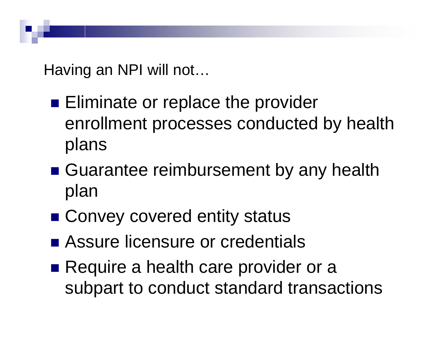Having an NPI will not…

- **Eliminate or replace the provider** enrollment processes conducted by health plans
- **E** Guarantee reimbursement by any health plan
- Convey covered entity status
- **Example 23 Assure licensure or credentials**
- Require a health care provider or a subpart to conduct standard transactions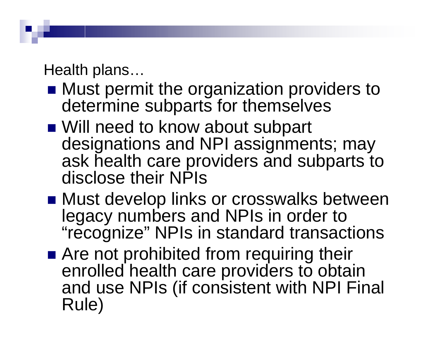Health plans...

- **Must permit the organization providers to** determine subparts for themselves
- Will need to know about subpart designations and NPI assignments; may ask health care providers and subparts to disclose their NPIs
- Must develop links or crosswalks between legacy numbers and NPIs in order to ""recognize "" NPIs in standard transactions
- **E** Are not prohibited from requiring their enrolled health care providers to obtain and use NPIs (if consistent with NPI Final R ule )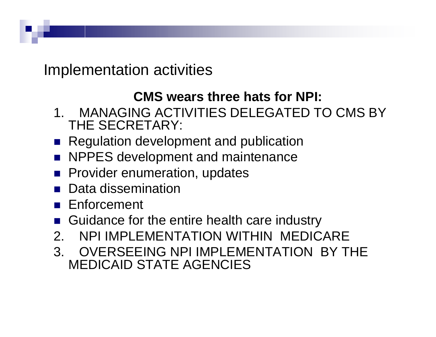Implementation activities

#### **CMS wears three hats for NPI:**

- 1. MANAGING ACTIVITIES DELEGATED TO CMS BY THE SECRETARY:
- **Regulation development and publication**
- **NPPES development and maintenance**
- **Provider enumeration, updates**
- Data dissemination
- Enforcement
- Guidance for the entire health care industry
- 2. NPI IMPLEMENTATION WITHIN MEDICARE
- 3. OVERSEEING NPI IMPLEMENTATION BY THE MEDICAID STATE AGENCIES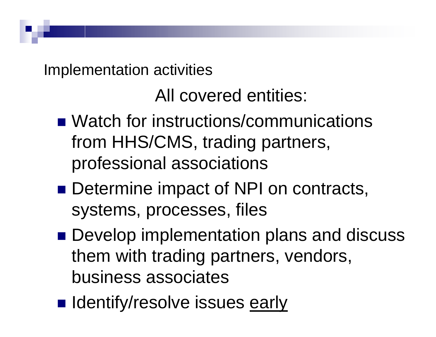Implementation activities

All covered entities:

- Watch for instructions/communications from HHS/CMS, trading partners, professional associations
- **Determine impact of NPI on contracts,** systems, processes, files
- **Develop implementation plans and discuss** them with trading partners, vendors, business associates
- **In Identify/resolve issues early**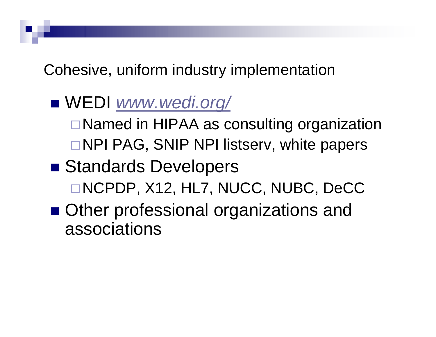Cohesive, uniform industry implementation

WEDI *www.wedi.org/*

 $\Box$ Named in HIPAA as consulting organization □NPI PAG, SNIP NPI listserv, white papers

- **Standards Developers** □NCPDP, X12, HL7, NUCC, NUBC, DeCC
- **Other professional organizations and** associations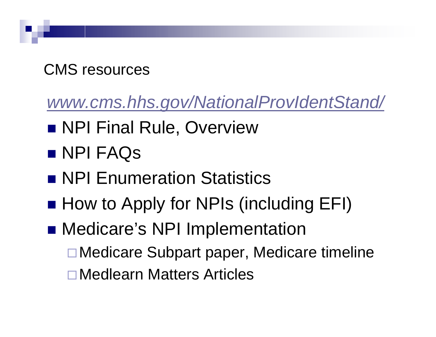## CMS resources

*www.cms.hhs.gov/NationalProvIdentStand/*

- **NPI Final Rule, Overview**
- NPI FAQs
- **NPI Enumeration Statistics**
- How to Apply for NPIs (including EFI)
- **Redicare's NPI Implementation □Medicare Subpart paper, Medicare timeline** □Medlearn Matters Articles